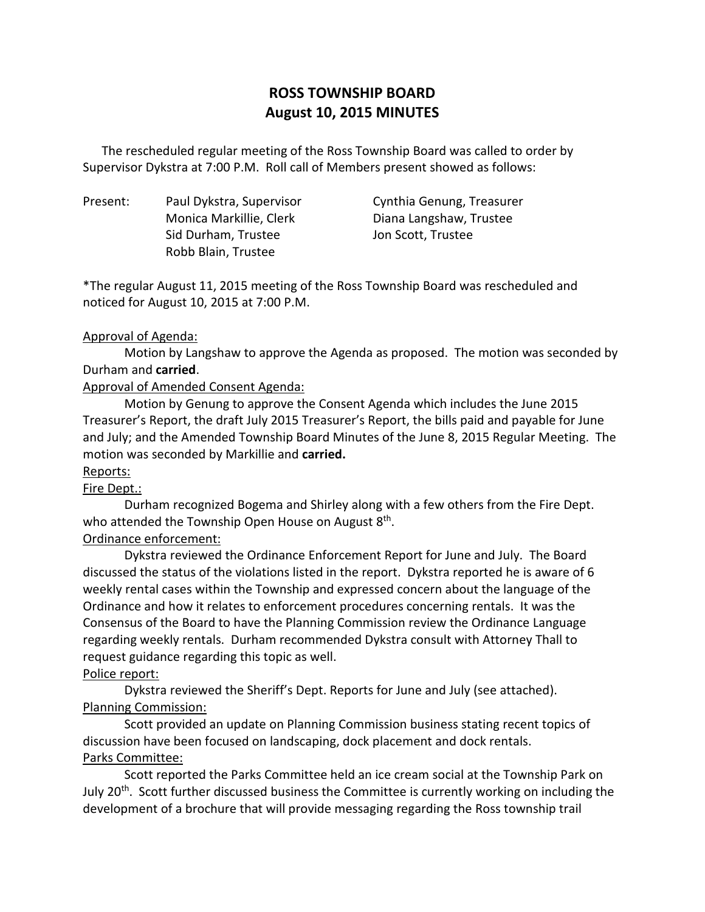# **ROSS TOWNSHIP BOARD August 10, 2015 MINUTES**

 Supervisor Dykstra at 7:00 P.M. Roll call of Members present showed as follows: The rescheduled regular meeting of the Ross Township Board was called to order by

Present: Sid Durham, Trustee Jon Scott, Trustee Robb Blain, Trustee

Paul Dykstra, Supervisor Cynthia Genung, Treasurer Monica Markillie, Clerk Diana Langshaw, Trustee

 \*The regular August 11, 2015 meeting of the Ross Township Board was rescheduled and noticed for August 10, 2015 at 7:00 P.M.

#### Approval of Agenda:

 Motion by Langshaw to approve the Agenda as proposed. The motion was seconded by Durham and **carried**.

# Approval of Amended Consent Agenda:

 Motion by Genung to approve the Consent Agenda which includes the June 2015 Treasurer's Report, the draft July 2015 Treasurer's Report, the bills paid and payable for June and July; and the Amended Township Board Minutes of the June 8, 2015 Regular Meeting. The motion was seconded by Markillie and **carried.** 

# Reports:

# Fire Dept.:

 Durham recognized Bogema and Shirley along with a few others from the Fire Dept. who attended the Township Open House on August 8<sup>th</sup>.

# Ordinance enforcement:

 Dykstra reviewed the Ordinance Enforcement Report for June and July. The Board discussed the status of the violations listed in the report. Dykstra reported he is aware of 6 weekly rental cases within the Township and expressed concern about the language of the Ordinance and how it relates to enforcement procedures concerning rentals. It was the Consensus of the Board to have the Planning Commission review the Ordinance Language regarding weekly rentals. Durham recommended Dykstra consult with Attorney Thall to request guidance regarding this topic as well.

# Police report:

 Dykstra reviewed the Sheriff's Dept. Reports for June and July (see attached). Planning Commission:

 discussion have been focused on landscaping, dock placement and dock rentals. Parks Committee: Scott provided an update on Planning Commission business stating recent topics of

July 20<sup>th</sup>. Scott further discussed business the Committee is currently working on including the development of a brochure that will provide messaging regarding the Ross township trail Scott reported the Parks Committee held an ice cream social at the Township Park on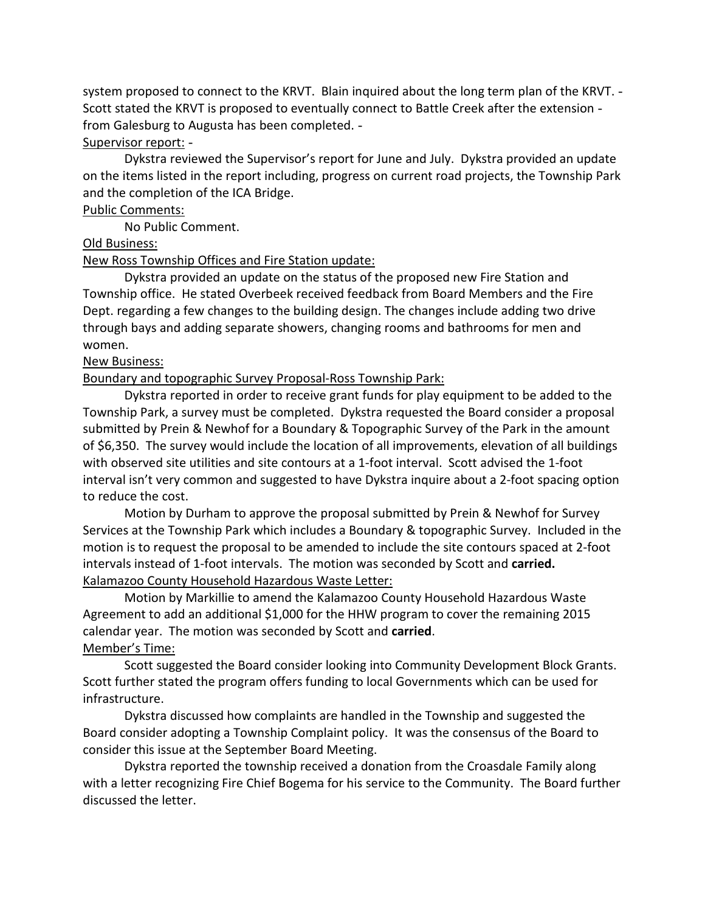system proposed to connect to the KRVT. Blain inquired about the long term plan of the KRVT. Scott stated the KRVT is proposed to eventually connect to Battle Creek after the extension from Galesburg to Augusta has been completed.

#### Supervisor report: -

 Dykstra reviewed the Supervisor's report for June and July. Dykstra provided an update on the items listed in the report including, progress on current road projects, the Township Park and the completion of the ICA Bridge.

#### Public Comments:

No Public Comment.

# Old Business:

# New Ross Township Offices and Fire Station update:

 Dykstra provided an update on the status of the proposed new Fire Station and Township office. He stated Overbeek received feedback from Board Members and the Fire Dept. regarding a few changes to the building design. The changes include adding two drive through bays and adding separate showers, changing rooms and bathrooms for men and women.

#### **New Business:**

# Boundary and topographic Survey Proposal-Ross Township Park:

 Dykstra reported in order to receive grant funds for play equipment to be added to the Township Park, a survey must be completed. Dykstra requested the Board consider a proposal submitted by Prein & Newhof for a Boundary & Topographic Survey of the Park in the amount of \$6,350. The survey would include the location of all improvements, elevation of all buildings with observed site utilities and site contours at a 1-foot interval. Scott advised the 1-foot interval isn't very common and suggested to have Dykstra inquire about a 2-foot spacing option to reduce the cost.

 Motion by Durham to approve the proposal submitted by Prein & Newhof for Survey Services at the Township Park which includes a Boundary & topographic Survey. Included in the motion is to request the proposal to be amended to include the site contours spaced at 2-foot intervals instead of 1-foot intervals. The motion was seconded by Scott and **carried.**  Kalamazoo County Household Hazardous Waste Letter:

 Motion by Markillie to amend the Kalamazoo County Household Hazardous Waste Agreement to add an additional \$1,000 for the HHW program to cover the remaining 2015 calendar year. The motion was seconded by Scott and **carried**.

# Member's Time:

 Scott further stated the program offers funding to local Governments which can be used for infrastructure. Scott suggested the Board consider looking into Community Development Block Grants.

infrastructure.<br>Dykstra discussed how complaints are handled in the Township and suggested the Board consider adopting a Township Complaint policy. It was the consensus of the Board to consider this issue at the September Board Meeting.

 with a letter recognizing Fire Chief Bogema for his service to the Community. The Board further discussed the letter. Dykstra reported the township received a donation from the Croasdale Family along